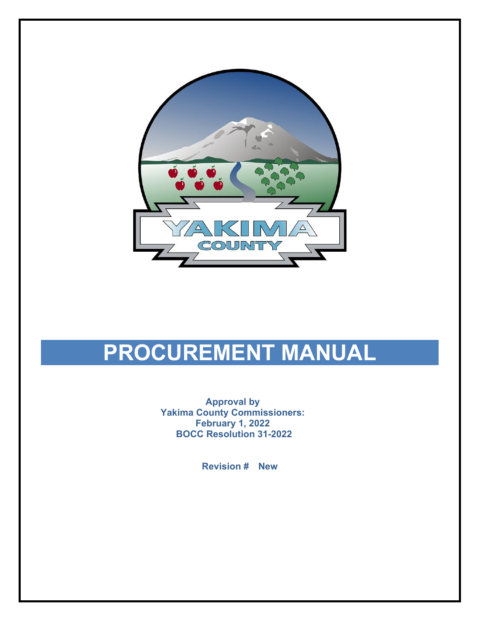

# **PROCUREMENT MANUAL**

**Approval by Yakima County Commissioners: February 1, 2022 BOCC Resolution 31-2022**

**Revision # New**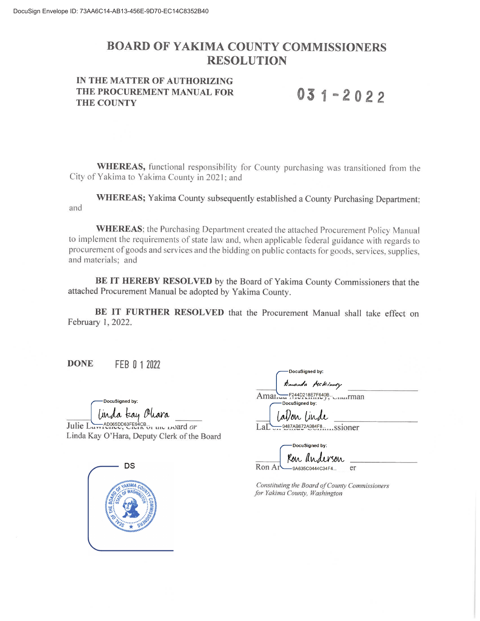# **BOARD OF YAKIMA COUNTY COMMISSIONERS RESOLUTION**

#### IN THE MATTER OF AUTHORIZING THE PROCUREMENT MANUAL FOR **THE COUNTY**

# $031 - 2022$

**WHEREAS**, functional responsibility for County purchasing was transitioned from the City of Yakima to Yakima County in 2021; and

WHEREAS; Yakima County subsequently established a County Purchasing Department; and

**WHEREAS**; the Purchasing Department created the attached Procurement Policy Manual to implement the requirements of state law and, when applicable federal guidance with regards to procurement of goods and services and the bidding on public contacts for goods, services, supplies, and materials; and

BE IT HEREBY RESOLVED by the Board of Yakima County Commissioners that the attached Procurement Manual be adopted by Yakima County.

BE IT FURTHER RESOLVED that the Procurement Manual shall take effect on February 1, 2022.

**DONE** FEB 0 1 2022

> DocuSianed by: a tau l<sup>y</sup>

AD065DD63FE94CB Julie I  $\mu$  and  $\mu$  and  $\theta r$ Linda Kay O'Hara, Deputy Clerk of the Board



DocuSigned by: anda Hckinney F244D218E7F640B.

Amar.  $\ldots$ rman DocuSigned by:

allon linde -9487AB672A984F8.....ssioner LaE

DocuSigned by:

Kon anderson Ron Ar 9A635C0444C34F4. er

Constituting the Board of County Commissioners for Yakima County, Washington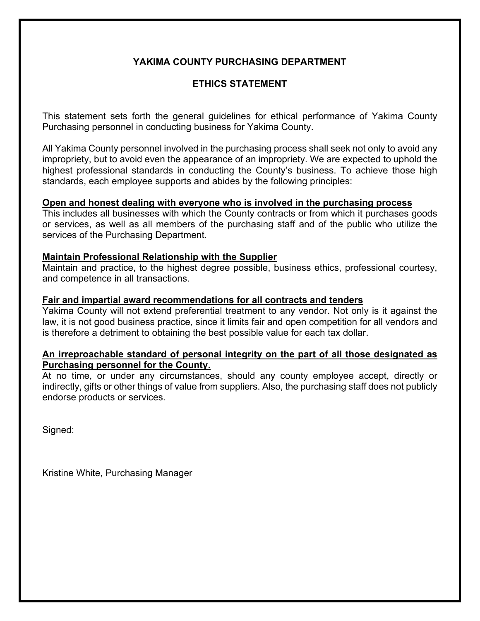# **YAKIMA COUNTY PURCHASING DEPARTMENT**

# **ETHICS STATEMENT**

This statement sets forth the general guidelines for ethical performance of Yakima County Purchasing personnel in conducting business for Yakima County.

All Yakima County personnel involved in the purchasing process shall seek not only to avoid any impropriety, but to avoid even the appearance of an impropriety. We are expected to uphold the highest professional standards in conducting the County's business. To achieve those high standards, each employee supports and abides by the following principles:

#### **Open and honest dealing with everyone who is involved in the purchasing process**

This includes all businesses with which the County contracts or from which it purchases goods or services, as well as all members of the purchasing staff and of the public who utilize the services of the Purchasing Department.

#### **Maintain Professional Relationship with the Supplier**

Maintain and practice, to the highest degree possible, business ethics, professional courtesy, and competence in all transactions.

#### **Fair and impartial award recommendations for all contracts and tenders**

Yakima County will not extend preferential treatment to any vendor. Not only is it against the law, it is not good business practice, since it limits fair and open competition for all vendors and is therefore a detriment to obtaining the best possible value for each tax dollar.

#### **An irreproachable standard of personal integrity on the part of all those designated as Purchasing personnel for the County.**

At no time, or under any circumstances, should any county employee accept, directly or indirectly, gifts or other things of value from suppliers. Also, the purchasing staff does not publicly endorse products or services.

Signed:

Kristine White, Purchasing Manager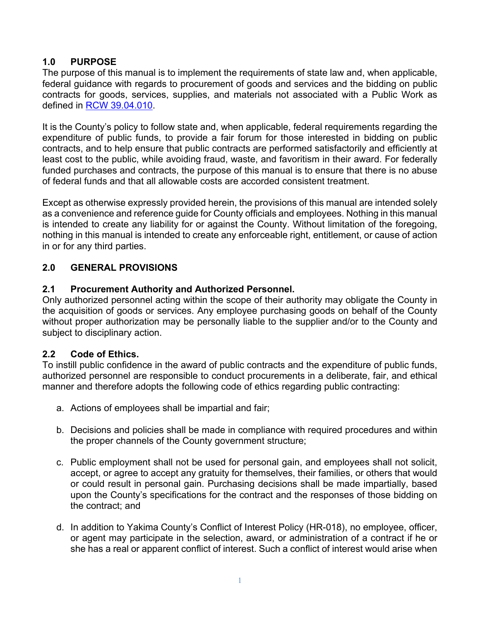# **1.0 PURPOSE**

The purpose of this manual is to implement the requirements of state law and, when applicable, federal guidance with regards to procurement of goods and services and the bidding on public contracts for goods, services, supplies, and materials not associated with a Public Work as defined in [RCW 39.04.010.](https://app.leg.wa.gov/RCW/default.aspx?cite=39.04.010)

It is the County's policy to follow state and, when applicable, federal requirements regarding the expenditure of public funds, to provide a fair forum for those interested in bidding on public contracts, and to help ensure that public contracts are performed satisfactorily and efficiently at least cost to the public, while avoiding fraud, waste, and favoritism in their award. For federally funded purchases and contracts, the purpose of this manual is to ensure that there is no abuse of federal funds and that all allowable costs are accorded consistent treatment.

Except as otherwise expressly provided herein, the provisions of this manual are intended solely as a convenience and reference guide for County officials and employees. Nothing in this manual is intended to create any liability for or against the County. Without limitation of the foregoing, nothing in this manual is intended to create any enforceable right, entitlement, or cause of action in or for any third parties.

# **2.0 GENERAL PROVISIONS**

# **2.1 Procurement Authority and Authorized Personnel.**

Only authorized personnel acting within the scope of their authority may obligate the County in the acquisition of goods or services. Any employee purchasing goods on behalf of the County without proper authorization may be personally liable to the supplier and/or to the County and subject to disciplinary action.

# **2.2 Code of Ethics.**

To instill public confidence in the award of public contracts and the expenditure of public funds, authorized personnel are responsible to conduct procurements in a deliberate, fair, and ethical manner and therefore adopts the following code of ethics regarding public contracting:

- a. Actions of employees shall be impartial and fair;
- b. Decisions and policies shall be made in compliance with required procedures and within the proper channels of the County government structure;
- c. Public employment shall not be used for personal gain, and employees shall not solicit, accept, or agree to accept any gratuity for themselves, their families, or others that would or could result in personal gain. Purchasing decisions shall be made impartially, based upon the County's specifications for the contract and the responses of those bidding on the contract; and
- d. In addition to Yakima County's Conflict of Interest Policy (HR-018), no employee, officer, or agent may participate in the selection, award, or administration of a contract if he or she has a real or apparent conflict of interest. Such a conflict of interest would arise when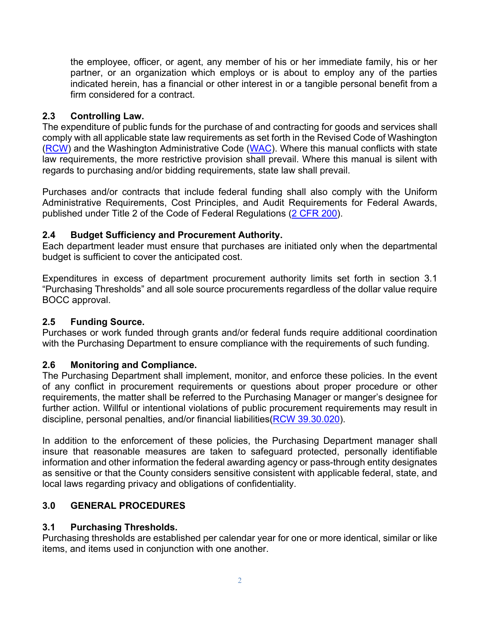the employee, officer, or agent, any member of his or her immediate family, his or her partner, or an organization which employs or is about to employ any of the parties indicated herein, has a financial or other interest in or a tangible personal benefit from a firm considered for a contract.

# **2.3 Controlling Law.**

The expenditure of public funds for the purchase of and contracting for goods and services shall comply with all applicable state law requirements as set forth in the Revised Code of Washington [\(RCW\)](https://apps.leg.wa.gov/rcw/default.aspx?cite) and the Washington Administrative Code [\(WAC\)](https://apps.leg.wa.gov/wac/). Where this manual conflicts with state law requirements, the more restrictive provision shall prevail. Where this manual is silent with regards to purchasing and/or bidding requirements, state law shall prevail.

Purchases and/or contracts that include federal funding shall also comply with the Uniform Administrative Requirements, Cost Principles, and Audit Requirements for Federal Awards, published under Title 2 of the Code of Federal Regulations [\(2 CFR 200\)](https://www.govinfo.gov/app/details/CFR-2014-title2-vol1/CFR-2014-title2-vol1-part200).

# **2.4 Budget Sufficiency and Procurement Authority.**

Each department leader must ensure that purchases are initiated only when the departmental budget is sufficient to cover the anticipated cost.

Expenditures in excess of department procurement authority limits set forth in section 3.1 "Purchasing Thresholds" and all sole source procurements regardless of the dollar value require BOCC approval.

# **2.5 Funding Source.**

Purchases or work funded through grants and/or federal funds require additional coordination with the Purchasing Department to ensure compliance with the requirements of such funding.

## **2.6 Monitoring and Compliance.**

The Purchasing Department shall implement, monitor, and enforce these policies. In the event of any conflict in procurement requirements or questions about proper procedure or other requirements, the matter shall be referred to the Purchasing Manager or manger's designee for further action. Willful or intentional violations of public procurement requirements may result in discipline, personal penalties, and/or financial liabilities[\(RCW 39.30.020\)](https://app.leg.wa.gov/RCW/default.aspx?cite=39.30.020).

In addition to the enforcement of these policies, the Purchasing Department manager shall insure that reasonable measures are taken to safeguard protected, personally identifiable information and other information the federal awarding agency or pass-through entity designates as sensitive or that the County considers sensitive consistent with applicable federal, state, and local laws regarding privacy and obligations of confidentiality.

# **3.0 GENERAL PROCEDURES**

# **3.1 Purchasing Thresholds.**

Purchasing thresholds are established per calendar year for one or more identical, similar or like items, and items used in conjunction with one another.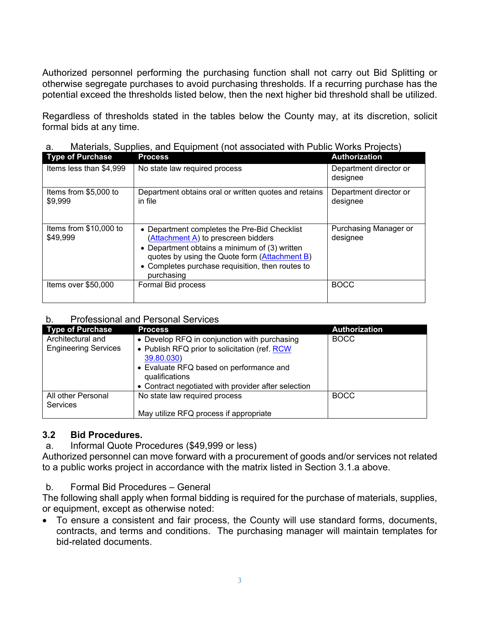Authorized personnel performing the purchasing function shall not carry out Bid Splitting or otherwise segregate purchases to avoid purchasing thresholds. If a recurring purchase has the potential exceed the thresholds listed below, then the next higher bid threshold shall be utilized.

Regardless of thresholds stated in the tables below the County may, at its discretion, solicit formal bids at any time.

| <b>Type of Purchase</b>            | <b>Process</b>                                                                                                                                                                                                                                            | <b>Authorization</b>               |
|------------------------------------|-----------------------------------------------------------------------------------------------------------------------------------------------------------------------------------------------------------------------------------------------------------|------------------------------------|
| Items less than \$4,999            | No state law required process                                                                                                                                                                                                                             | Department director or<br>designee |
| Items from \$5,000 to<br>\$9,999   | Department obtains oral or written quotes and retains<br>in file                                                                                                                                                                                          | Department director or<br>designee |
| Items from \$10,000 to<br>\$49,999 | • Department completes the Pre-Bid Checklist<br>(Attachment A) to prescreen bidders<br>• Department obtains a minimum of $(3)$ written<br>quotes by using the Quote form (Attachment B)<br>• Completes purchase requisition, then routes to<br>purchasing | Purchasing Manager or<br>designee  |
| Items over \$50,000                | Formal Bid process                                                                                                                                                                                                                                        | <b>BOCC</b>                        |

a. Materials, Supplies, and Equipment (not associated with Public Works Projects)

## b. Professional and Personal Services

| <b>Type of Purchase</b>     | <b>Process</b>                                      | <b>Authorization</b> |
|-----------------------------|-----------------------------------------------------|----------------------|
| Architectural and           | • Develop RFQ in conjunction with purchasing        | <b>BOCC</b>          |
| <b>Engineering Services</b> | • Publish RFQ prior to solicitation (ref. RCW)      |                      |
|                             | 39.80.030)                                          |                      |
|                             | • Evaluate RFQ based on performance and             |                      |
|                             | qualifications                                      |                      |
|                             | • Contract negotiated with provider after selection |                      |
| All other Personal          | No state law required process                       | <b>BOCC</b>          |
| <b>Services</b>             |                                                     |                      |
|                             | May utilize RFQ process if appropriate              |                      |

# **3.2 Bid Procedures.**

a. Informal Quote Procedures (\$49,999 or less)

Authorized personnel can move forward with a procurement of goods and/or services not related to a public works project in accordance with the matrix listed in Section 3.1.a above.

# b. Formal Bid Procedures – General

The following shall apply when formal bidding is required for the purchase of materials, supplies, or equipment, except as otherwise noted:

• To ensure a consistent and fair process, the County will use standard forms, documents, contracts, and terms and conditions. The purchasing manager will maintain templates for bid-related documents.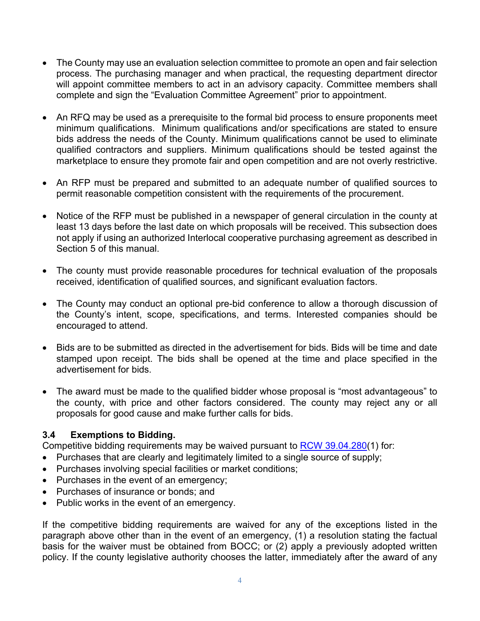- The County may use an evaluation selection committee to promote an open and fair selection process. The purchasing manager and when practical, the requesting department director will appoint committee members to act in an advisory capacity. Committee members shall complete and sign the "Evaluation Committee Agreement" prior to appointment.
- An RFQ may be used as a prerequisite to the formal bid process to ensure proponents meet minimum qualifications. Minimum qualifications and/or specifications are stated to ensure bids address the needs of the County. Minimum qualifications cannot be used to eliminate qualified contractors and suppliers. Minimum qualifications should be tested against the marketplace to ensure they promote fair and open competition and are not overly restrictive.
- An RFP must be prepared and submitted to an adequate number of qualified sources to permit reasonable competition consistent with the requirements of the procurement.
- Notice of the RFP must be published in a newspaper of general circulation in the county at least 13 days before the last date on which proposals will be received. This subsection does not apply if using an authorized Interlocal cooperative purchasing agreement as described in Section 5 of this manual.
- The county must provide reasonable procedures for technical evaluation of the proposals received, identification of qualified sources, and significant evaluation factors.
- The County may conduct an optional pre-bid conference to allow a thorough discussion of the County's intent, scope, specifications, and terms. Interested companies should be encouraged to attend.
- Bids are to be submitted as directed in the advertisement for bids. Bids will be time and date stamped upon receipt. The bids shall be opened at the time and place specified in the advertisement for bids.
- The award must be made to the qualified bidder whose proposal is "most advantageous" to the county, with price and other factors considered. The county may reject any or all proposals for good cause and make further calls for bids.

## **3.4 Exemptions to Bidding.**

Competitive bidding requirements may be waived pursuant to [RCW 39.04.280\(](https://apps.leg.wa.gov/rcw/default.aspx?cite=39.04.280)1) for:

- Purchases that are clearly and legitimately limited to a single source of supply;
- Purchases involving special facilities or market conditions;
- Purchases in the event of an emergency;
- Purchases of insurance or bonds; and
- Public works in the event of an emergency.

If the competitive bidding requirements are waived for any of the exceptions listed in the paragraph above other than in the event of an emergency, (1) a resolution stating the factual basis for the waiver must be obtained from BOCC; or (2) apply a previously adopted written policy. If the county legislative authority chooses the latter, immediately after the award of any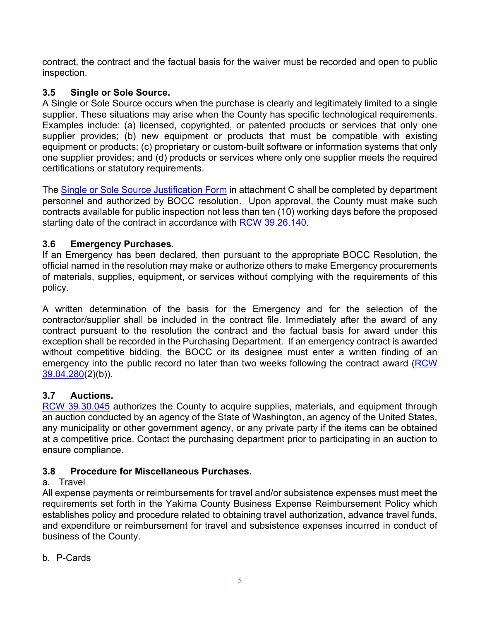contract, the contract and the factual basis for the waiver must be recorded and open to public inspection.

# **3.5 Single or Sole Source.**

A Single or Sole Source occurs when the purchase is clearly and legitimately limited to a single supplier. These situations may arise when the County has specific technological requirements. Examples include: (a) licensed, copyrighted, or patented products or services that only one supplier provides; (b) new equipment or products that must be compatible with existing equipment or products; (c) proprietary or custom-built software or information systems that only one supplier provides; and (d) products or services where only one supplier meets the required certifications or statutory requirements.

The Single or Sole Source Justification Form in attachment C shall be completed by department personnel and authorized by BOCC resolution. Upon approval, the County must make such contracts available for public inspection not less than ten (10) working days before the proposed starting date of the contract in accordance with RCW [39.26.140.](https://app.leg.wa.gov/RCW/default.aspx?cite=39.26.140)

# **3.6 Emergency Purchases.**

If an Emergency has been declared, then pursuant to the appropriate BOCC Resolution, the official named in the resolution may make or authorize others to make Emergency procurements of materials, supplies, equipment, or services without complying with the requirements of this policy.

A written determination of the basis for the Emergency and for the selection of the contractor/supplier shall be included in the contract file. Immediately after the award of any contract pursuant to the resolution the contract and the factual basis for award under this exception shall be recorded in the Purchasing Department. If an emergency contract is awarded without competitive bidding, the BOCC or its designee must enter a written finding of an emergency into the public record no later than two weeks following the contract award (RCW) [39.04.280\(](https://app.leg.wa.gov/RCW/default.aspx?cite=39.04.280)2)(b)).

# **3.7 Auctions.**

[RCW 39.30.045](https://app.leg.wa.gov/RCW/default.aspx?cite=39.30.045) authorizes the County to acquire supplies, materials, and equipment through an auction conducted by an agency of the State of Washington, an agency of the United States, any municipality or other government agency, or any private party if the items can be obtained at a competitive price. Contact the purchasing department prior to participating in an auction to ensure compliance.

# **3.8 Procedure for Miscellaneous Purchases.**

## a. Travel

All expense payments or reimbursements for travel and/or subsistence expenses must meet the requirements set forth in the Yakima County Business Expense Reimbursement Policy which establishes policy and procedure related to obtaining travel authorization, advance travel funds, and expenditure or reimbursement for travel and subsistence expenses incurred in conduct of business of the County.

b. P-Cards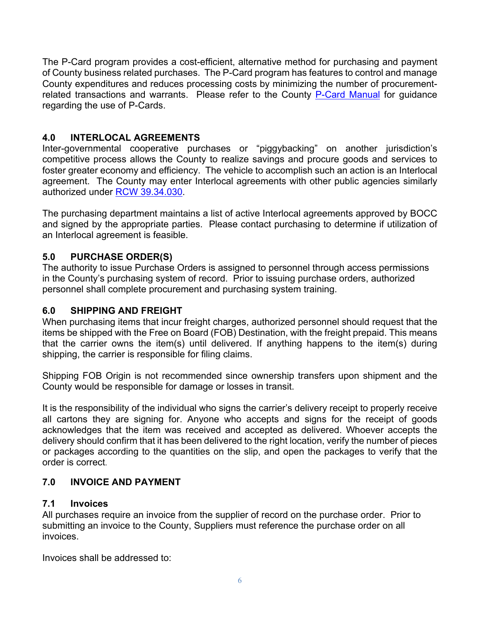The P-Card program provides a cost-efficient, alternative method for purchasing and payment of County business related purchases. The P-Card program has features to control and manage County expenditures and reduces processing costs by minimizing the number of procurement-related transactions and warrants. Please refer to the County [P-Card Manual](https://yakimacounty.sharepoint.com/:w:/r/sites/Purchasing/_layouts/15/Doc.aspx?sourcedoc=%7B551566BC-0342-49D8-AFEA-0A6F0815A7FA%7D&file=Procurement%20Card%20Manual.docx&action=default&mobileredirect=true&DefaultItemOpen=1) for guidance regarding the use of P-Cards.

# **4.0 INTERLOCAL AGREEMENTS**

Inter-governmental cooperative purchases or "piggybacking" on another jurisdiction's competitive process allows the County to realize savings and procure goods and services to foster greater economy and efficiency. The vehicle to accomplish such an action is an Interlocal agreement. The County may enter Interlocal agreements with other public agencies similarly authorized under [RCW 39.34.030.](https://apps.leg.wa.gov/rcw/default.aspx?cite=39.34.030)

The purchasing department maintains a list of active Interlocal agreements approved by BOCC and signed by the appropriate parties. Please contact purchasing to determine if utilization of an Interlocal agreement is feasible.

# **5.0 PURCHASE ORDER(S)**

The authority to issue Purchase Orders is assigned to personnel through access permissions in the County's purchasing system of record. Prior to issuing purchase orders, authorized personnel shall complete procurement and purchasing system training.

# **6.0 SHIPPING AND FREIGHT**

When purchasing items that incur freight charges, authorized personnel should request that the items be shipped with the Free on Board (FOB) Destination, with the freight prepaid. This means that the carrier owns the item(s) until delivered. If anything happens to the item(s) during shipping, the carrier is responsible for filing claims.

Shipping FOB Origin is not recommended since ownership transfers upon shipment and the County would be responsible for damage or losses in transit.

It is the responsibility of the individual who signs the carrier's delivery receipt to properly receive all cartons they are signing for. Anyone who accepts and signs for the receipt of goods acknowledges that the item was received and accepted as delivered. Whoever accepts the delivery should confirm that it has been delivered to the right location, verify the number of pieces or packages according to the quantities on the slip, and open the packages to verify that the order is correct.

## **7.0 INVOICE AND PAYMENT**

## **7.1 Invoices**

All purchases require an invoice from the supplier of record on the purchase order. Prior to submitting an invoice to the County, Suppliers must reference the purchase order on all invoices.

Invoices shall be addressed to: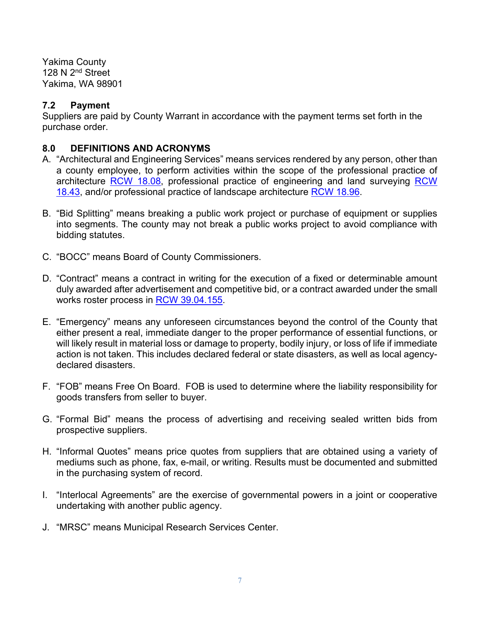Yakima County 128 N 2<sup>nd</sup> Street Yakima, WA 98901

#### **7.2 Payment**

Suppliers are paid by County Warrant in accordance with the payment terms set forth in the purchase order.

#### **8.0 DEFINITIONS AND ACRONYMS**

- A. "Architectural and Engineering Services" means services rendered by any person, other than a county employee, to perform activities within the scope of the professional practice of architecture [RCW 18.08,](https://app.leg.wa.gov/RCW/default.aspx?cite=18.08) professional practice of engineering and land surveying [RCW](https://app.leg.wa.gov/RCW/default.aspx?cite=18.43)  [18.43,](https://app.leg.wa.gov/RCW/default.aspx?cite=18.43) and/or professional practice of landscape architecture [RCW 18.96.](https://app.leg.wa.gov/RCW/default.aspx?cite=18.96)
- B. "Bid Splitting" means breaking a public work project or purchase of equipment or supplies into segments. The county may not break a public works project to avoid compliance with bidding statutes.
- C. "BOCC" means Board of County Commissioners.
- D. "Contract" means a contract in writing for the execution of a fixed or determinable amount duly awarded after advertisement and competitive bid, or a contract awarded under the small works roster process in [RCW 39.04.155.](https://app.leg.wa.gov/RCW/default.aspx?cite=39.04.155)
- E. "Emergency" means any unforeseen circumstances beyond the control of the County that either present a real, immediate danger to the proper performance of essential functions, or will likely result in material loss or damage to property, bodily injury, or loss of life if immediate action is not taken. This includes declared federal or state disasters, as well as local agencydeclared disasters.
- F. "FOB" means Free On Board. FOB is used to determine where the liability responsibility for goods transfers from seller to buyer.
- G. "Formal Bid" means the process of advertising and receiving sealed written bids from prospective suppliers.
- H. "Informal Quotes" means price quotes from suppliers that are obtained using a variety of mediums such as phone, fax, e-mail, or writing. Results must be documented and submitted in the purchasing system of record.
- I. "Interlocal Agreements" are the exercise of governmental powers in a joint or cooperative undertaking with another public agency.
- J. "MRSC" means Municipal Research Services Center.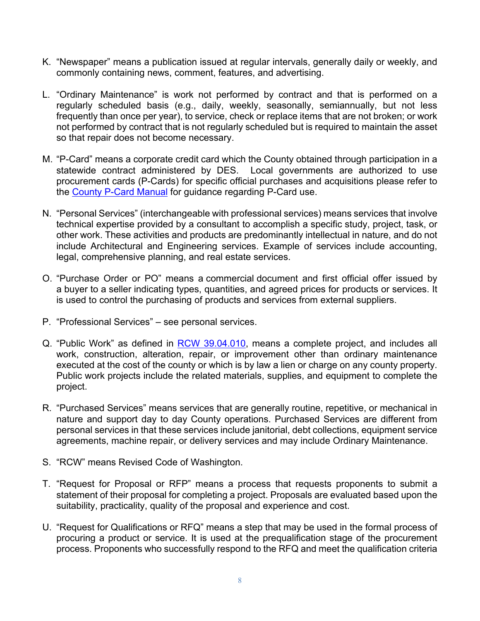- K. "Newspaper" means a publication issued at regular intervals, generally daily or weekly, and commonly containing news, comment, features, and advertising.
- L. "Ordinary Maintenance" is work not performed by contract and that is performed on a regularly scheduled basis (e.g., daily, weekly, seasonally, semiannually, but not less frequently than once per year), to service, check or replace items that are not broken; or work not performed by contract that is not regularly scheduled but is required to maintain the asset so that repair does not become necessary.
- M. "P-Card" means a corporate credit card which the County obtained through participation in a statewide contract administered by DES. Local governments are authorized to use procurement cards (P-Cards) for specific official purchases and acquisitions please refer to the [County P-Card Manual](https://yakimacounty.sharepoint.com/:w:/r/sites/Purchasing/_layouts/15/Doc.aspx?sourcedoc=%7B551566BC-0342-49D8-AFEA-0A6F0815A7FA%7D&file=Procurement%20Card%20Manual.docx&action=default&mobileredirect=true&DefaultItemOpen=1) for guidance regarding P-Card use.
- N. "Personal Services" (interchangeable with professional services) means services that involve technical expertise provided by a consultant to accomplish a specific study, project, task, or other work. These activities and products are predominantly intellectual in nature, and do not include Architectural and Engineering services. Example of services include accounting, legal, comprehensive planning, and real estate services.
- O. "Purchase Order or PO" means a commercial document and first official offer issued by a buyer to a seller indicating types, quantities, and agreed prices for products or services. It is used to control the purchasing of products and services from external suppliers.
- P. "Professional Services" see personal services.
- Q. "Public Work" as defined in [RCW 39.04.010,](https://app.leg.wa.gov/RCW/default.aspx?cite=39.04.010) means a complete project, and includes all work, construction, alteration, repair, or improvement other than ordinary maintenance executed at the cost of the county or which is by law a lien or charge on any county property. Public work projects include the related materials, supplies, and equipment to complete the project.
- R. "Purchased Services" means services that are generally routine, repetitive, or mechanical in nature and support day to day County operations. Purchased Services are different from personal services in that these services include janitorial, debt collections, equipment service agreements, machine repair, or delivery services and may include Ordinary Maintenance.
- S. "RCW" means Revised Code of Washington.
- T. "Request for Proposal or RFP" means a process that requests proponents to submit a statement of their proposal for completing a project. Proposals are evaluated based upon the suitability, practicality, quality of the proposal and experience and cost.
- U. "Request for Qualifications or RFQ" means a step that may be used in the formal process of procuring a product or service. It is used at the prequalification stage of the procurement process. Proponents who successfully respond to the RFQ and meet the qualification criteria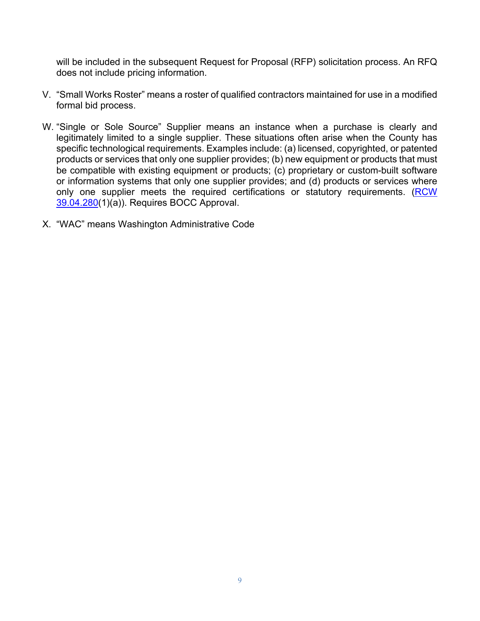will be included in the subsequent Request for Proposal (RFP) solicitation process. An RFQ does not include pricing information.

- V. "Small Works Roster" means a roster of qualified contractors maintained for use in a modified formal bid process.
- W. "Single or Sole Source" Supplier means an instance when a purchase is clearly and legitimately limited to a single supplier. These situations often arise when the County has specific technological requirements. Examples include: (a) licensed, copyrighted, or patented products or services that only one supplier provides; (b) new equipment or products that must be compatible with existing equipment or products; (c) proprietary or custom-built software or information systems that only one supplier provides; and (d) products or services where only one supplier meets the required certifications or statutory requirements. (RCW [39.04.280\(](https://app.leg.wa.gov/RCW/default.aspx?cite=39.04.280)1)(a)). Requires BOCC Approval.
- X. "WAC" means Washington Administrative Code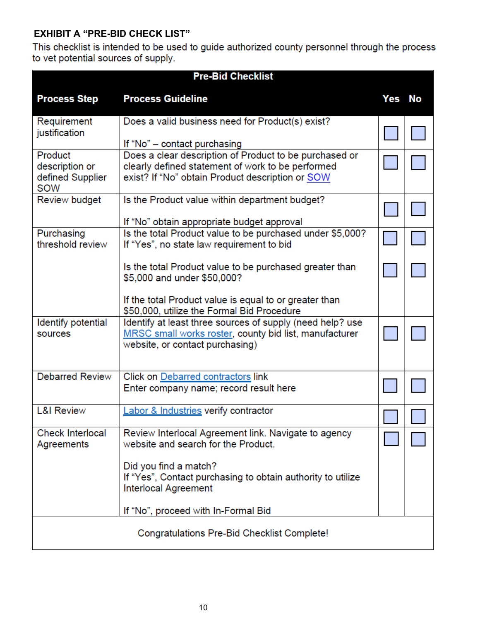# **EXHIBIT A "PRE-BID CHECK LIST"**

This checklist is intended to be used to guide authorized county personnel through the process to vet potential sources of supply.

| <b>Pre-Bid Checklist</b>                             |                                                                                                                                                                 |        |  |  |
|------------------------------------------------------|-----------------------------------------------------------------------------------------------------------------------------------------------------------------|--------|--|--|
| <b>Process Step</b>                                  | <b>Process Guideline</b>                                                                                                                                        | Yes No |  |  |
| Requirement<br>justification                         | Does a valid business need for Product(s) exist?<br>If "No" – contact purchasing                                                                                |        |  |  |
| Product<br>description or<br>defined Supplier<br>SOW | Does a clear description of Product to be purchased or<br>clearly defined statement of work to be performed<br>exist? If "No" obtain Product description or SOW |        |  |  |
| Review budget                                        | Is the Product value within department budget?<br>If "No" obtain appropriate budget approval                                                                    |        |  |  |
| Purchasing<br>threshold review                       | Is the total Product value to be purchased under \$5,000?<br>If "Yes", no state law requirement to bid                                                          |        |  |  |
|                                                      | Is the total Product value to be purchased greater than<br>\$5,000 and under \$50,000?                                                                          |        |  |  |
|                                                      | If the total Product value is equal to or greater than<br>\$50,000, utilize the Formal Bid Procedure                                                            |        |  |  |
| Identify potential<br>sources                        | Identify at least three sources of supply (need help? use<br>MRSC small works roster, county bid list, manufacturer<br>website, or contact purchasing)          |        |  |  |
| <b>Debarred Review</b>                               | Click on Debarred contractors link<br>Enter company name; record result here                                                                                    |        |  |  |
| <b>L&amp;I Review</b>                                | <b>Labor &amp; Industries verify contractor</b>                                                                                                                 |        |  |  |
| <b>Check Interlocal</b><br>Agreements                | Review Interlocal Agreement link. Navigate to agency<br>website and search for the Product.                                                                     |        |  |  |
|                                                      | Did you find a match?<br>If "Yes", Contact purchasing to obtain authority to utilize<br><b>Interlocal Agreement</b>                                             |        |  |  |
|                                                      | If "No", proceed with In-Formal Bid                                                                                                                             |        |  |  |
| Congratulations Pre-Bid Checklist Complete!          |                                                                                                                                                                 |        |  |  |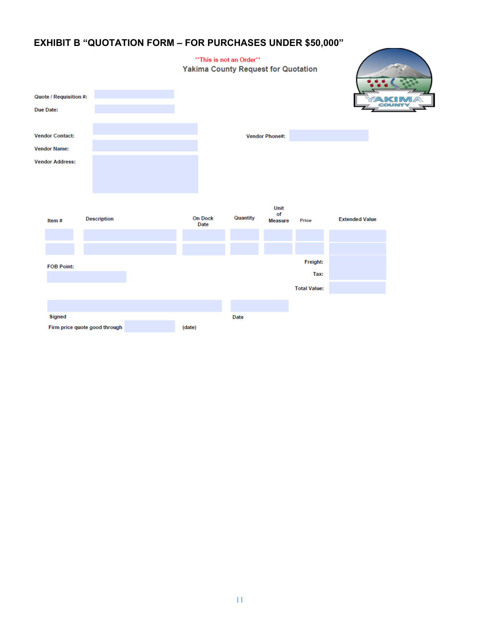# **EXHIBIT B "QUOTATION FORM – FOR PURCHASES UNDER \$50,000"**

#### \*\* This is not an Order\*\* **Yakima County Request for Quotation** Quote / Requisition #: COUNTY Due Date: **Vendor Contact:** Vendor Phone#: **Vendor Name: Vendor Address:** Unit of On Dock Quantity Description **Extended Value** Price Item# Measure Date Freight: **FOB Point:** Tax: **Total Value:** Signed Date Firm price quote good through  $(date)$